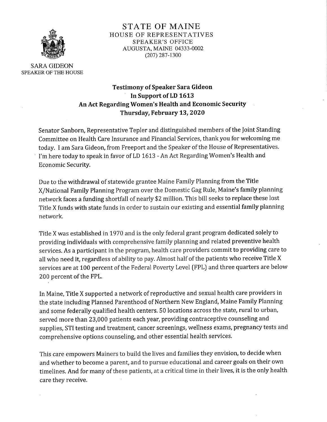

STATE OF MAINE HOUSE OF REPRESENTATIVES SPEAKER'S OFFICE \_;§§\_§ AUGUSTA, MAINE 04333-0002 "\*\* (207) 287-1300

SARA GIDEON SPEAKER OF THE HOUSE

# Testimony of Speaker Sara Gideon In Support of LD 1613 An Act Regarding Women's Health and Economic Security Thursday, February 13, 2020

Senator Sanborn, Representative Tepler and distinguished members of the Ioint Standing Committee on Health Care Insurance and Financial Services, thank you for welcoming me today. I am Sara Gideon, from Freeport and the Speaker of the House of Representatives. I'm here today to speak in favor of LD 1613 - An Act Regarding Women's Health and Economic Security.

Due to the withdrawal of statewide grantee Maine Family Planning from the Title X/ National Family Planning Program over the Domestic Gag Rule, Maine's family planning network faces a funding shortfall of nearly \$2 million. This bill seeks to replace these lost Title X funds with state funds in order to sustain our existing and essential family planning network.

Title X was established in 1970 and is the only federal grant program dedicated solely to providing individuals with comprehensive family planning and related preventive health services. As a participant in the program, health care providers commit to providing care to all who need it, regardless of ability to pay. Almost half of the patients who receive Title X services are at 100 percent of the Federal Poverty Level (FPL) and three quarters are below 200 percent of the FPL.

In Maine, Title X supported a network of reproductive and sexual health care providers in the state including Planned Parenthood of Northern New England, Maine Family Planning and some federally qualified health centers. 50 locations across the state, rural to urban, served more than 23,000 patients each year, providing contraceptive counseling and supplies, STI testing and treatment, cancer screenings, wellness exams, pregnancy tests and comprehensive options counseling, and other essential health services.

This care empowers Mainers to build the lives and families they envision, to decide when and whether to become a parent, and to pursue educational and career goals on their own timelines. And for many of these patients, at a critical time in their lives, it is the only health care they receive.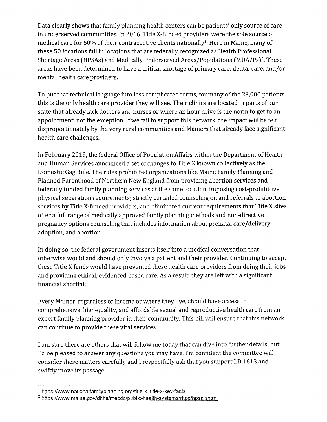Data clearly shows that family planning health centers can be patients' only source of care in underserved communities. In 2016, Title X-funded providers were the sole source of medical care for 60% of their contraceptive clients nationally<sup>1</sup>. Here in Maine, many of these 50 locations fall in locations that are federally recognized as Health Professional Shortage Areas (HPSAs) and Medically Underserved Areas /Populations (MUA/Ps)2 . These areas have been determined to have a critical shortage of primary care, dental care, and / or mental health care providers.

To put that technical language into less complicated terms, for many of the 23,000 patients this is the only health care provider they will see. Their clinics are located in parts of our state that already lack doctors and nurses or where an hour drive is the norm to get to an appointment, not the exception. If we fail to support this network, the impact will be felt disproportionately by the very rural communities and Mainers that already face significant health care challenges.

In February 2019, the federal Office of Population Affairs within the Department of Health and Human Services announced a set of changes to Title X known collectively as the Domestic Gag Rule. The rules prohibited organizations like Maine Family Planning and Planned Parenthood of Northern New England from providing abortion services and federally funded family planning services at the same location, imposing cost-prohibitive physical separation requirements; strictly curtailed counseling on and referrals to abortion services by Title X-funded providers; and eliminated current requirements that Title X sites offer a full range of medically approved family planning methods and non-directive pregnancy options counseling that includes information about prenatal care/ delivery, adoption, and abortion.

In doing so, the federal government inserts itself into a medical conversation that otherwise would and should only involve a patient and their provider. Continuing to accept these Title X funds would have prevented these health care providers from doing their jobs and providing ethical, evidenced based care. As a result, they are left with a significant financial shortfall.

Every Mainer, regardless of income or where they live, should have access to comprehensive, high-quality, and affordable sexual and reproductive health care from an expert family planning provider in their community. This bill will ensure that this network can continue to provide these vital services.

<sup>I</sup>am sure there are others that will follow me today that can dive into further details, but I'd be pleased to answer any questions you may have. I'm confident the committee will consider these matters carefully and I respectfully ask that you support LD 1613 and swiftly move its passage.

<sup>&#</sup>x27; https://www.nationalfamilyplanning.org/title-x\_title-x-key-facts

<sup>&</sup>lt;sup>2</sup> https://www.maine.gov/dhhs/mecdc/public-health-systems/rhpc/hpsa.shtml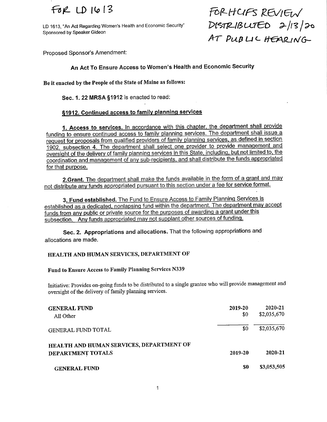LD 1613, "An Act Regarding Women's Health and Economic Security"  $\mathcal{MSTRLIBLITL}$   $\mathcal{LITL}$   $\rightarrow$  /I 3 /  $\rightarrow$ Sponsored by Speaker Gideon

 $FA$  LD 1613 FORHCIFS REVIEW AT PUBLIC HEARING

Proposed Sponsor's Amendment:

## An Act To Ensure Access to Women's Health and Economic Security

Be it enacted by the People of the State of Maine as follows:

Sec. 1. 22 MRSA §1912 is enacted to read:

### §1912. Continued access to family planning services

1. Access to services. ln accordance with this chapter. the department shall provide funding to ensure continued access to family planning services. The department shall issue a request for proposals from qualified providers of family planning services, as defined in section 1902, subsection 4. The department shall select one provider to provide management and oversight of the delivery of family planning services in this State, including, but not limited to, the coordination and management of anv sub-recipients, and shall distribute the funds appropriated for that purpose.

2.Grant. The department shall make the funds available in the form of a grant and may not distribute any funds appropriated pursuant to this section under a fee for service format.

3. Fund established. The Fund to Ensure Access to Family Planning Services is established as a dedicated, nonlapsing fund within the department. The department mav accept funds from any public or private source for the purposes of awarding a grant under this subsection. Anv funds appropriated mav not supplant other sources of funding,

Sec. 2. Appropriations and allocations. That the following appropriations and allocations are made.

#### HEALTH AND HUMAN SERVICES, DEPARTMENT OF

### Fund to Ensure Access to Family Planning Services N339

Initiative: Provides on-going funds to be distiibuted to a single grantee who will provide management and oversight of the delivery of family plamiing services.

| <b>GENERAL FUND</b><br>All Other                              | 2019-20<br>\$0 | 2020-21<br>\$2,035,670 |
|---------------------------------------------------------------|----------------|------------------------|
| <b>GENERAL FUND TOTAL</b>                                     | \$0            | \$2,035,670            |
| HEALTH AND HUMAN SERVICES, DEPARTMENT OF<br>DEPARTMENT TOTALS | 2019-20        | 2020-21                |
| <b>GENERAL FUND</b>                                           | \$0            | \$3,053,505            |